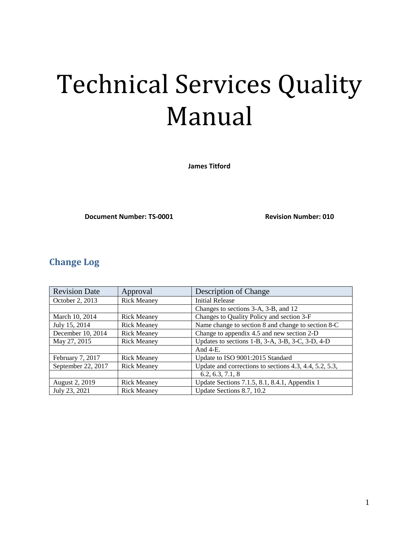# Technical Services Quality Manual

**James Titford**

**Document Number: TS-0001 Revision Number: 010** 

## <span id="page-0-0"></span>**Change Log**

| <b>Revision Date</b> | Approval           | Description of Change                                  |  |
|----------------------|--------------------|--------------------------------------------------------|--|
| October 2, 2013      | <b>Rick Meaney</b> | <b>Initial Release</b>                                 |  |
|                      |                    | Changes to sections 3-A, 3-B, and 12                   |  |
| March 10, 2014       | <b>Rick Meaney</b> | Changes to Quality Policy and section 3-F              |  |
| July 15, 2014        | <b>Rick Meaney</b> | Name change to section 8 and change to section 8-C     |  |
| December 10, 2014    | <b>Rick Meaney</b> | Change to appendix 4.5 and new section 2-D             |  |
| May 27, 2015         | <b>Rick Meaney</b> | Updates to sections 1-B, 3-A, 3-B, 3-C, 3-D, 4-D       |  |
|                      |                    | And $4-E$ .                                            |  |
| February 7, 2017     | <b>Rick Meaney</b> | Update to ISO 9001:2015 Standard                       |  |
| September 22, 2017   | <b>Rick Meaney</b> | Update and corrections to sections 4.3, 4.4, 5.2, 5.3, |  |
|                      |                    | 6.2, 6.3, 7.1, 8                                       |  |
| August 2, 2019       | <b>Rick Meaney</b> | Update Sections 7.1.5, 8.1, 8.4.1, Appendix 1          |  |
| July 23, 2021        | <b>Rick Meaney</b> | Update Sections 8.7, 10.2                              |  |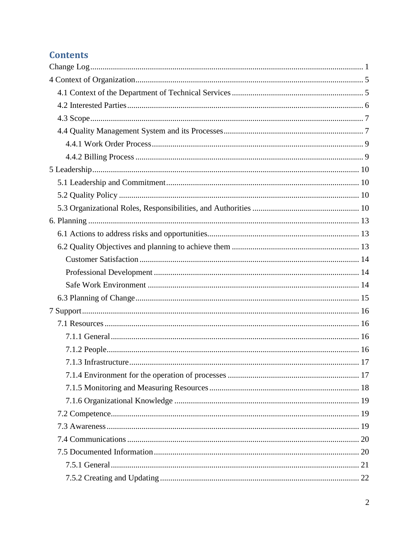# **Contents**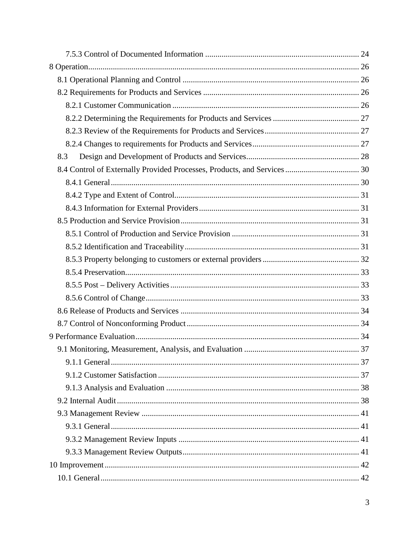| 8.3 |  |
|-----|--|
|     |  |
|     |  |
|     |  |
|     |  |
|     |  |
|     |  |
|     |  |
|     |  |
|     |  |
|     |  |
|     |  |
|     |  |
|     |  |
|     |  |
|     |  |
|     |  |
|     |  |
|     |  |
|     |  |
|     |  |
|     |  |
|     |  |
|     |  |
|     |  |
|     |  |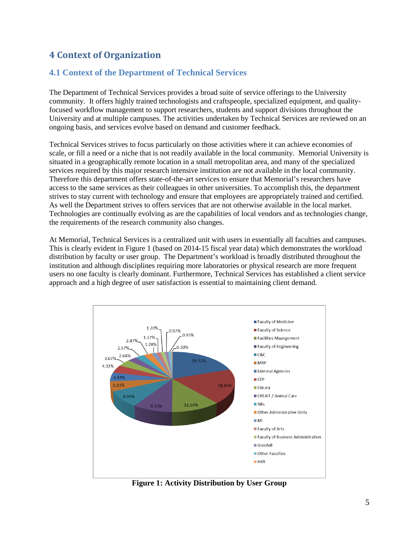## <span id="page-4-0"></span>**4 Context of Organization**

## <span id="page-4-1"></span>**4.1 Context of the Department of Technical Services**

The Department of Technical Services provides a broad suite of service offerings to the University community. It offers highly trained technologists and craftspeople, specialized equipment, and qualityfocused workflow management to support researchers, students and support divisions throughout the University and at multiple campuses. The activities undertaken by Technical Services are reviewed on an ongoing basis, and services evolve based on demand and customer feedback.

Technical Services strives to focus particularly on those activities where it can achieve economies of scale, or fill a need or a niche that is not readily available in the local community. Memorial University is situated in a geographically remote location in a small metropolitan area, and many of the specialized services required by this major research intensive institution are not available in the local community. Therefore this department offers state-of-the-art services to ensure that Memorial's researchers have access to the same services as their colleagues in other universities. To accomplish this, the department strives to stay current with technology and ensure that employees are appropriately trained and certified. As well the Department strives to offers services that are not otherwise available in the local market. Technologies are continually evolving as are the capabilities of local vendors and as technologies change, the requirements of the research community also changes.

At Memorial, Technical Services is a centralized unit with users in essentially all faculties and campuses. This is clearly evident in Figure 1 (based on 2014-15 fiscal year data) which demonstrates the workload distribution by faculty or user group. The Department's workload is broadly distributed throughout the institution and although disciplines requiring more laboratories or physical research are more frequent users no one faculty is clearly dominant. Furthermore, Technical Services has established a client service approach and a high degree of user satisfaction is essential to maintaining client demand.



**Figure 1: Activity Distribution by User Group**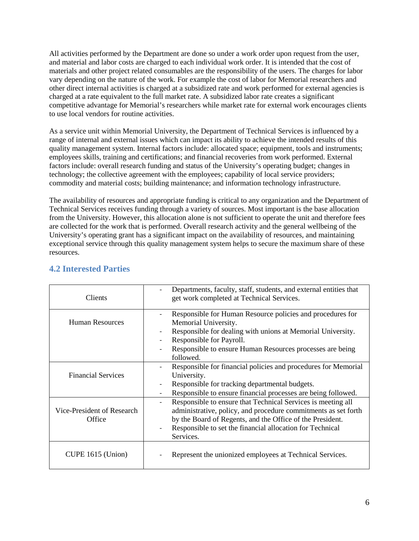All activities performed by the Department are done so under a work order upon request from the user, and material and labor costs are charged to each individual work order. It is intended that the cost of materials and other project related consumables are the responsibility of the users. The charges for labor vary depending on the nature of the work. For example the cost of labor for Memorial researchers and other direct internal activities is charged at a subsidized rate and work performed for external agencies is charged at a rate equivalent to the full market rate. A subsidized labor rate creates a significant competitive advantage for Memorial's researchers while market rate for external work encourages clients to use local vendors for routine activities.

As a service unit within Memorial University, the Department of Technical Services is influenced by a range of internal and external issues which can impact its ability to achieve the intended results of this quality management system. Internal factors include: allocated space; equipment, tools and instruments; employees skills, training and certifications; and financial recoveries from work performed. External factors include: overall research funding and status of the University's operating budget; changes in technology; the collective agreement with the employees; capability of local service providers; commodity and material costs; building maintenance; and information technology infrastructure.

The availability of resources and appropriate funding is critical to any organization and the Department of Technical Services receives funding through a variety of sources. Most important is the base allocation from the University. However, this allocation alone is not sufficient to operate the unit and therefore fees are collected for the work that is performed. Overall research activity and the general wellbeing of the University's operating grant has a significant impact on the availability of resources, and maintaining exceptional service through this quality management system helps to secure the maximum share of these resources.

| Clients                              | Departments, faculty, staff, students, and external entities that<br>get work completed at Technical Services.                                                                                                                                                                                    |
|--------------------------------------|---------------------------------------------------------------------------------------------------------------------------------------------------------------------------------------------------------------------------------------------------------------------------------------------------|
| <b>Human Resources</b>               | Responsible for Human Resource policies and procedures for<br>Memorial University.<br>Responsible for dealing with unions at Memorial University.<br>Responsible for Payroll.<br>Responsible to ensure Human Resources processes are being<br>followed.                                           |
| <b>Financial Services</b>            | Responsible for financial policies and procedures for Memorial<br>University.<br>Responsible for tracking departmental budgets.<br>Responsible to ensure financial processes are being followed.                                                                                                  |
| Vice-President of Research<br>Office | Responsible to ensure that Technical Services is meeting all<br>$\overline{\phantom{a}}$<br>administrative, policy, and procedure commitments as set forth<br>by the Board of Regents, and the Office of the President.<br>Responsible to set the financial allocation for Technical<br>Services. |
| CUPE 1615 (Union)                    | Represent the unionized employees at Technical Services.                                                                                                                                                                                                                                          |

## <span id="page-5-0"></span>**4.2 Interested Parties**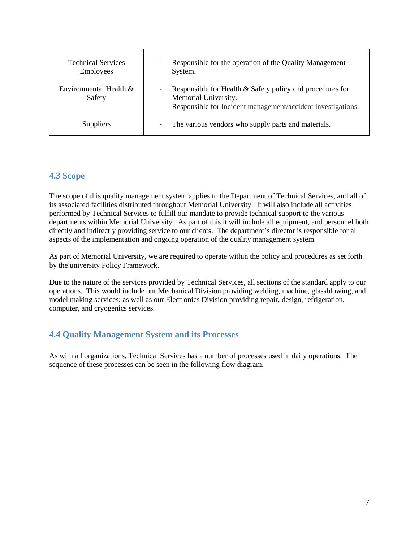| <b>Technical Services</b><br>Employees | Responsible for the operation of the Quality Management<br>System.                                                                                |
|----------------------------------------|---------------------------------------------------------------------------------------------------------------------------------------------------|
| Environmental Health $&$<br>Safety     | Responsible for Health & Safety policy and procedures for<br>Memorial University.<br>Responsible for Incident management/accident investigations. |
| Suppliers                              | The various vendors who supply parts and materials.                                                                                               |

## <span id="page-6-0"></span>**4.3 Scope**

The scope of this quality management system applies to the Department of Technical Services, and all of its associated facilities distributed throughout Memorial University. It will also include all activities performed by Technical Services to fulfill our mandate to provide technical support to the various departments within Memorial University. As part of this it will include all equipment, and personnel both directly and indirectly providing service to our clients. The department's director is responsible for all aspects of the implementation and ongoing operation of the quality management system.

As part of Memorial University, we are required to operate within the policy and procedures as set forth by the university Policy Framework.

Due to the nature of the services provided by Technical Services, all sections of the standard apply to our operations. This would include our Mechanical Division providing welding, machine, glassblowing, and model making services; as well as our Electronics Division providing repair, design, refrigeration, computer, and cryogenics services.

## <span id="page-6-1"></span>**4.4 Quality Management System and its Processes**

As with all organizations, Technical Services has a number of processes used in daily operations. The sequence of these processes can be seen in the following flow diagram.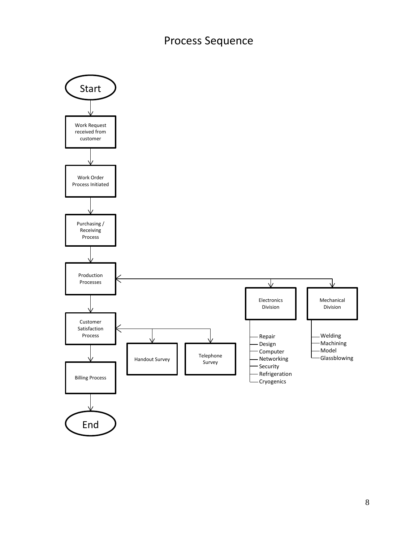# Process Sequence

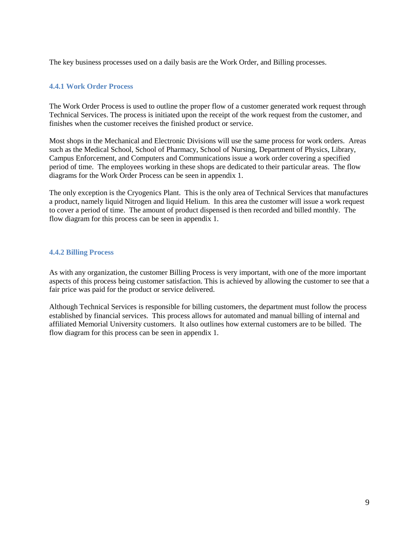The key business processes used on a daily basis are the Work Order, and Billing processes.

## <span id="page-8-0"></span>**4.4.1 Work Order Process**

The Work Order Process is used to outline the proper flow of a customer generated work request through Technical Services. The process is initiated upon the receipt of the work request from the customer, and finishes when the customer receives the finished product or service.

Most shops in the Mechanical and Electronic Divisions will use the same process for work orders. Areas such as the Medical School, School of Pharmacy, School of Nursing, Department of Physics, Library, Campus Enforcement, and Computers and Communications issue a work order covering a specified period of time. The employees working in these shops are dedicated to their particular areas. The flow diagrams for the Work Order Process can be seen in appendix 1.

The only exception is the Cryogenics Plant. This is the only area of Technical Services that manufactures a product, namely liquid Nitrogen and liquid Helium. In this area the customer will issue a work request to cover a period of time. The amount of product dispensed is then recorded and billed monthly. The flow diagram for this process can be seen in appendix 1.

#### <span id="page-8-1"></span>**4.4.2 Billing Process**

As with any organization, the customer Billing Process is very important, with one of the more important aspects of this process being customer satisfaction. This is achieved by allowing the customer to see that a fair price was paid for the product or service delivered.

Although Technical Services is responsible for billing customers, the department must follow the process established by financial services. This process allows for automated and manual billing of internal and affiliated Memorial University customers. It also outlines how external customers are to be billed. The flow diagram for this process can be seen in appendix 1.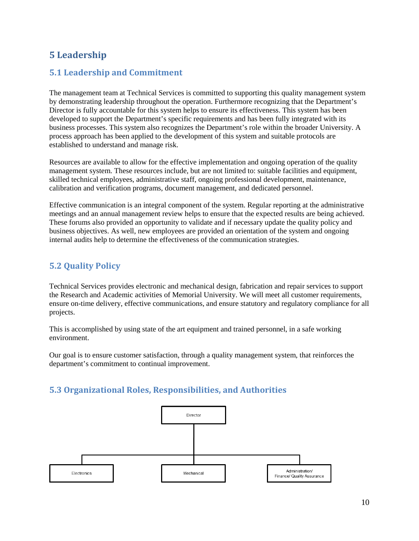## <span id="page-9-0"></span>**5 Leadership**

## <span id="page-9-1"></span>**5.1 Leadership and Commitment**

The management team at Technical Services is committed to supporting this quality management system by demonstrating leadership throughout the operation. Furthermore recognizing that the Department's Director is fully accountable for this system helps to ensure its effectiveness. This system has been developed to support the Department's specific requirements and has been fully integrated with its business processes. This system also recognizes the Department's role within the broader University. A process approach has been applied to the development of this system and suitable protocols are established to understand and manage risk.

Resources are available to allow for the effective implementation and ongoing operation of the quality management system. These resources include, but are not limited to: suitable facilities and equipment, skilled technical employees, administrative staff, ongoing professional development, maintenance, calibration and verification programs, document management, and dedicated personnel.

Effective communication is an integral component of the system. Regular reporting at the administrative meetings and an annual management review helps to ensure that the expected results are being achieved. These forums also provided an opportunity to validate and if necessary update the quality policy and business objectives. As well, new employees are provided an orientation of the system and ongoing internal audits help to determine the effectiveness of the communication strategies.

## <span id="page-9-2"></span>**5.2 Quality Policy**

Technical Services provides electronic and mechanical design, fabrication and repair services to support the Research and Academic activities of Memorial University. We will meet all customer requirements, ensure on-time delivery, effective communications, and ensure statutory and regulatory compliance for all projects.

This is accomplished by using state of the art equipment and trained personnel, in a safe working environment.

Our goal is to ensure customer satisfaction, through a quality management system, that reinforces the department's commitment to continual improvement.

## <span id="page-9-3"></span>**5.3 Organizational Roles, Responsibilities, and Authorities**

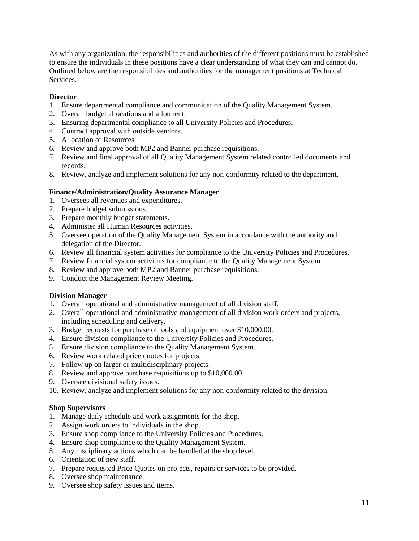As with any organization, the responsibilities and authorities of the different positions must be established to ensure the individuals in these positions have a clear understanding of what they can and cannot do. Outlined below are the responsibilities and authorities for the management positions at Technical Services.

## **Director**

- 1. Ensure departmental compliance and communication of the Quality Management System.
- 2. Overall budget allocations and allotment.
- 3. Ensuring departmental compliance to all University Policies and Procedures.
- 4. Contract approval with outside vendors.
- 5. Allocation of Resources
- 6. Review and approve both MP2 and Banner purchase requisitions.
- 7. Review and final approval of all Quality Management System related controlled documents and records.
- 8. Review, analyze and implement solutions for any non-conformity related to the department.

## **Finance/Administration/Quality Assurance Manager**

- 1. Oversees all revenues and expenditures.
- 2. Prepare budget submissions.
- 3. Prepare monthly budget statements.
- 4. Administer all Human Resources activities.
- 5. Oversee operation of the Quality Management System in accordance with the authority and delegation of the Director.
- 6. Review all financial system activities for compliance to the University Policies and Procedures.
- 7. Review financial system activities for compliance to the Quality Management System.
- 8. Review and approve both MP2 and Banner purchase requisitions.
- 9. Conduct the Management Review Meeting.

#### **Division Manager**

- 1. Overall operational and administrative management of all division staff.
- 2. Overall operational and administrative management of all division work orders and projects, including scheduling and delivery.
- 3. Budget requests for purchase of tools and equipment over \$10,000.00.
- 4. Ensure division compliance to the University Policies and Procedures.
- 5. Ensure division compliance to the Quality Management System.
- 6. Review work related price quotes for projects.
- 7. Follow up on larger or multidisciplinary projects.
- 8. Review and approve purchase requisitions up to \$10,000.00.
- 9. Oversee divisional safety issues.
- 10. Review, analyze and implement solutions for any non-conformity related to the division.

#### **Shop Supervisors**

- 1. Manage daily schedule and work assignments for the shop.
- 2. Assign work orders to individuals in the shop.
- 3. Ensure shop compliance to the University Policies and Procedures.
- 4. Ensure shop compliance to the Quality Management System.
- 5. Any disciplinary actions which can be handled at the shop level.
- 6. Orientation of new staff.
- 7. Prepare requested Price Quotes on projects, repairs or services to be provided.
- 8. Oversee shop maintenance.
- 9. Oversee shop safety issues and items.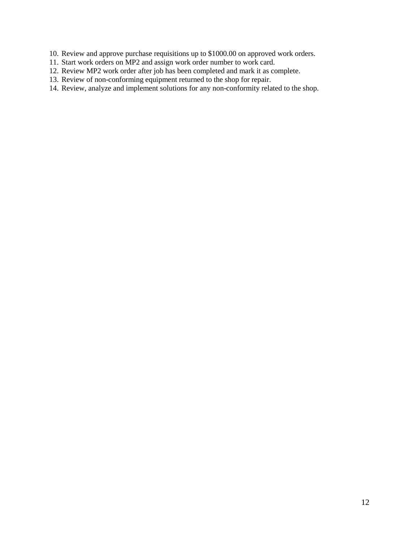- 10. Review and approve purchase requisitions up to \$1000.00 on approved work orders.
- 11. Start work orders on MP2 and assign work order number to work card.
- 12. Review MP2 work order after job has been completed and mark it as complete.
- 13. Review of non-conforming equipment returned to the shop for repair.
- 14. Review, analyze and implement solutions for any non-conformity related to the shop.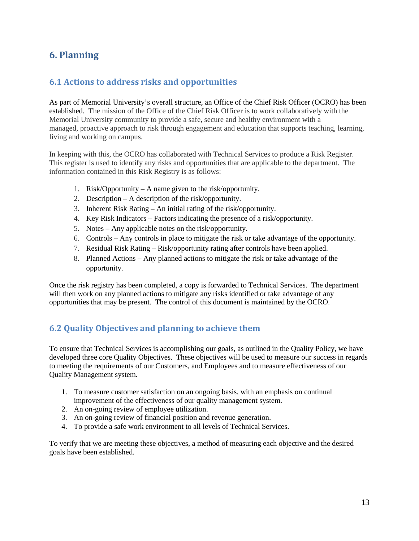## <span id="page-12-0"></span>**6. Planning**

## <span id="page-12-1"></span>**6.1 Actions to address risks and opportunities**

As part of Memorial University's overall structure, an Office of the Chief Risk Officer (OCRO) has been established. The mission of the Office of the Chief Risk Officer is to work collaboratively with the Memorial University community to provide a safe, secure and healthy environment with a managed, proactive approach to risk through engagement and education that supports teaching, learning, living and working on campus.

In keeping with this, the OCRO has collaborated with Technical Services to produce a Risk Register. This register is used to identify any risks and opportunities that are applicable to the department. The information contained in this Risk Registry is as follows:

- 1. Risk/Opportunity A name given to the risk/opportunity.
- 2. Description A description of the risk/opportunity.
- 3. Inherent Risk Rating An initial rating of the risk/opportunity.
- 4. Key Risk Indicators Factors indicating the presence of a risk/opportunity.
- 5. Notes Any applicable notes on the risk/opportunity.
- 6. Controls Any controls in place to mitigate the risk or take advantage of the opportunity.
- 7. Residual Risk Rating Risk/opportunity rating after controls have been applied.
- 8. Planned Actions Any planned actions to mitigate the risk or take advantage of the opportunity.

Once the risk registry has been completed, a copy is forwarded to Technical Services. The department will then work on any planned actions to mitigate any risks identified or take advantage of any opportunities that may be present. The control of this document is maintained by the OCRO.

## <span id="page-12-2"></span>**6.2 Quality Objectives and planning to achieve them**

To ensure that Technical Services is accomplishing our goals, as outlined in the Quality Policy, we have developed three core Quality Objectives. These objectives will be used to measure our success in regards to meeting the requirements of our Customers, and Employees and to measure effectiveness of our Quality Management system.

- 1. To measure customer satisfaction on an ongoing basis, with an emphasis on continual improvement of the effectiveness of our quality management system.
- 2. An on-going review of employee utilization.
- 3. An on-going review of financial position and revenue generation.
- 4. To provide a safe work environment to all levels of Technical Services.

To verify that we are meeting these objectives, a method of measuring each objective and the desired goals have been established.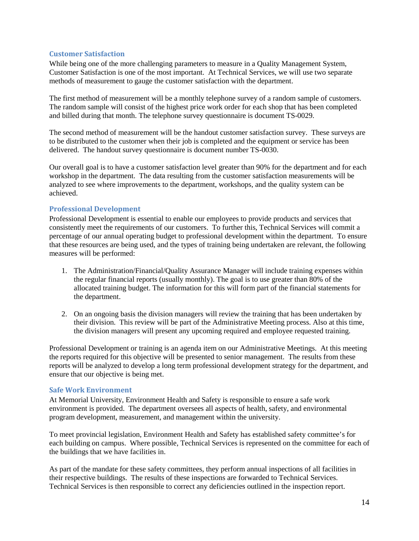#### <span id="page-13-0"></span>**Customer Satisfaction**

While being one of the more challenging parameters to measure in a Quality Management System, Customer Satisfaction is one of the most important. At Technical Services, we will use two separate methods of measurement to gauge the customer satisfaction with the department.

The first method of measurement will be a monthly telephone survey of a random sample of customers. The random sample will consist of the highest price work order for each shop that has been completed and billed during that month. The telephone survey questionnaire is document TS-0029.

The second method of measurement will be the handout customer satisfaction survey. These surveys are to be distributed to the customer when their job is completed and the equipment or service has been delivered. The handout survey questionnaire is document number TS-0030.

Our overall goal is to have a customer satisfaction level greater than 90% for the department and for each workshop in the department. The data resulting from the customer satisfaction measurements will be analyzed to see where improvements to the department, workshops, and the quality system can be achieved.

## <span id="page-13-1"></span>**Professional Development**

Professional Development is essential to enable our employees to provide products and services that consistently meet the requirements of our customers. To further this, Technical Services will commit a percentage of our annual operating budget to professional development within the department. To ensure that these resources are being used, and the types of training being undertaken are relevant, the following measures will be performed:

- 1. The Administration/Financial/Quality Assurance Manager will include training expenses within the regular financial reports (usually monthly). The goal is to use greater than 80% of the allocated training budget. The information for this will form part of the financial statements for the department.
- 2. On an ongoing basis the division managers will review the training that has been undertaken by their division. This review will be part of the Administrative Meeting process. Also at this time, the division managers will present any upcoming required and employee requested training.

Professional Development or training is an agenda item on our Administrative Meetings. At this meeting the reports required for this objective will be presented to senior management. The results from these reports will be analyzed to develop a long term professional development strategy for the department, and ensure that our objective is being met.

#### <span id="page-13-2"></span>**Safe Work Environment**

At Memorial University, Environment Health and Safety is responsible to ensure a safe work environment is provided. The department oversees all aspects of health, safety, and environmental program development, measurement, and management within the university.

To meet provincial legislation, Environment Health and Safety has established safety committee's for each building on campus. Where possible, Technical Services is represented on the committee for each of the buildings that we have facilities in.

As part of the mandate for these safety committees, they perform annual inspections of all facilities in their respective buildings. The results of these inspections are forwarded to Technical Services. Technical Services is then responsible to correct any deficiencies outlined in the inspection report.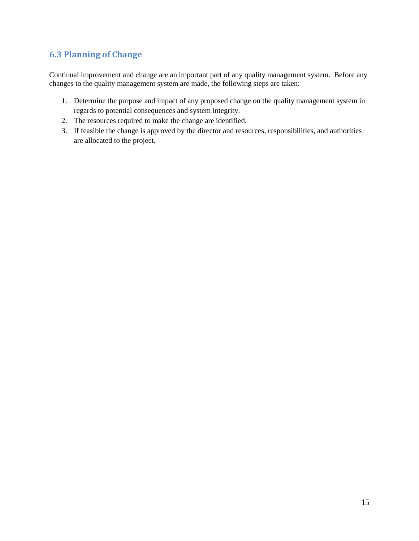## <span id="page-14-0"></span>**6.3 Planning of Change**

Continual improvement and change are an important part of any quality management system. Before any changes to the quality management system are made, the following steps are taken:

- 1. Determine the purpose and impact of any proposed change on the quality management system in regards to potential consequences and system integrity.
- 2. The resources required to make the change are identified.
- 3. If feasible the change is approved by the director and resources, responsibilities, and authorities are allocated to the project.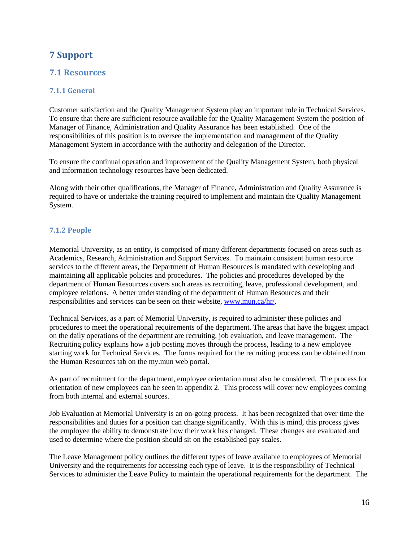## <span id="page-15-0"></span>**7 Support**

## <span id="page-15-1"></span>**7.1 Resources**

## <span id="page-15-2"></span>**7.1.1 General**

Customer satisfaction and the Quality Management System play an important role in Technical Services. To ensure that there are sufficient resource available for the Quality Management System the position of Manager of Finance, Administration and Quality Assurance has been established. One of the responsibilities of this position is to oversee the implementation and management of the Quality Management System in accordance with the authority and delegation of the Director.

To ensure the continual operation and improvement of the Quality Management System, both physical and information technology resources have been dedicated.

Along with their other qualifications, the Manager of Finance, Administration and Quality Assurance is required to have or undertake the training required to implement and maintain the Quality Management System.

## <span id="page-15-3"></span>**7.1.2 People**

Memorial University, as an entity, is comprised of many different departments focused on areas such as Academics, Research, Administration and Support Services. To maintain consistent human resource services to the different areas, the Department of Human Resources is mandated with developing and maintaining all applicable policies and procedures. The policies and procedures developed by the department of Human Resources covers such areas as recruiting, leave, professional development, and employee relations. A better understanding of the department of Human Resources and their responsibilities and services can be seen on their website, [www.mun.ca/hr/.](http://www.mun.ca/hr/)

Technical Services, as a part of Memorial University, is required to administer these policies and procedures to meet the operational requirements of the department. The areas that have the biggest impact on the daily operations of the department are recruiting, job evaluation, and leave management. The Recruiting policy explains how a job posting moves through the process, leading to a new employee starting work for Technical Services. The forms required for the recruiting process can be obtained from the Human Resources tab on the my.mun web portal.

As part of recruitment for the department, employee orientation must also be considered. The process for orientation of new employees can be seen in appendix 2. This process will cover new employees coming from both internal and external sources.

Job Evaluation at Memorial University is an on-going process. It has been recognized that over time the responsibilities and duties for a position can change significantly. With this is mind, this process gives the employee the ability to demonstrate how their work has changed. These changes are evaluated and used to determine where the position should sit on the established pay scales.

The Leave Management policy outlines the different types of leave available to employees of Memorial University and the requirements for accessing each type of leave. It is the responsibility of Technical Services to administer the Leave Policy to maintain the operational requirements for the department. The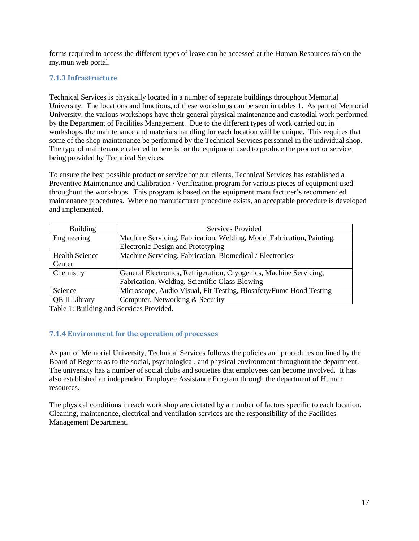forms required to access the different types of leave can be accessed at the Human Resources tab on the my.mun web portal.

## <span id="page-16-0"></span>**7.1.3 Infrastructure**

Technical Services is physically located in a number of separate buildings throughout Memorial University. The locations and functions, of these workshops can be seen in tables 1. As part of Memorial University, the various workshops have their general physical maintenance and custodial work performed by the Department of Facilities Management. Due to the different types of work carried out in workshops, the maintenance and materials handling for each location will be unique. This requires that some of the shop maintenance be performed by the Technical Services personnel in the individual shop. The type of maintenance referred to here is for the equipment used to produce the product or service being provided by Technical Services.

To ensure the best possible product or service for our clients, Technical Services has established a Preventive Maintenance and Calibration / Verification program for various pieces of equipment used throughout the workshops. This program is based on the equipment manufacturer's recommended maintenance procedures. Where no manufacturer procedure exists, an acceptable procedure is developed and implemented.

| <b>Building</b>       | Services Provided                                                     |  |
|-----------------------|-----------------------------------------------------------------------|--|
| Engineering           | Machine Servicing, Fabrication, Welding, Model Fabrication, Painting, |  |
|                       | Electronic Design and Prototyping                                     |  |
| <b>Health Science</b> | Machine Servicing, Fabrication, Biomedical / Electronics              |  |
| Center                |                                                                       |  |
| Chemistry             | General Electronics, Refrigeration, Cryogenics, Machine Servicing,    |  |
|                       | Fabrication, Welding, Scientific Glass Blowing                        |  |
| Science               | Microscope, Audio Visual, Fit-Testing, Biosafety/Fume Hood Testing    |  |
| <b>QE II Library</b>  | Computer, Networking & Security                                       |  |

Table 1: Building and Services Provided.

#### <span id="page-16-1"></span>**7.1.4 Environment for the operation of processes**

As part of Memorial University, Technical Services follows the policies and procedures outlined by the Board of Regents as to the social, psychological, and physical environment throughout the department. The university has a number of social clubs and societies that employees can become involved. It has also established an independent Employee Assistance Program through the department of Human resources.

The physical conditions in each work shop are dictated by a number of factors specific to each location. Cleaning, maintenance, electrical and ventilation services are the responsibility of the Facilities Management Department.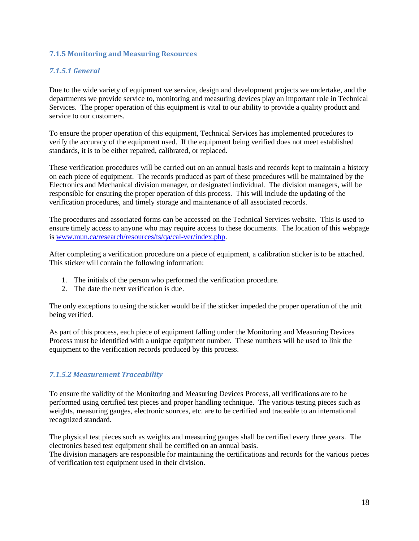## <span id="page-17-0"></span>**7.1.5 Monitoring and Measuring Resources**

## *7.1.5.1 General*

Due to the wide variety of equipment we service, design and development projects we undertake, and the departments we provide service to, monitoring and measuring devices play an important role in Technical Services. The proper operation of this equipment is vital to our ability to provide a quality product and service to our customers.

To ensure the proper operation of this equipment, Technical Services has implemented procedures to verify the accuracy of the equipment used. If the equipment being verified does not meet established standards, it is to be either repaired, calibrated, or replaced.

These verification procedures will be carried out on an annual basis and records kept to maintain a history on each piece of equipment. The records produced as part of these procedures will be maintained by the Electronics and Mechanical division manager, or designated individual. The division managers, will be responsible for ensuring the proper operation of this process. This will include the updating of the verification procedures, and timely storage and maintenance of all associated records.

The procedures and associated forms can be accessed on the Technical Services website. This is used to ensure timely access to anyone who may require access to these documents. The location of this webpage is [www.mun.ca/research/resources/ts/qa/cal-ver/index.php.](http://www.mun.ca/research/resources/ts/qa/cal-ver/index.php)

After completing a verification procedure on a piece of equipment, a calibration sticker is to be attached. This sticker will contain the following information:

- 1. The initials of the person who performed the verification procedure.
- 2. The date the next verification is due.

The only exceptions to using the sticker would be if the sticker impeded the proper operation of the unit being verified.

As part of this process, each piece of equipment falling under the Monitoring and Measuring Devices Process must be identified with a unique equipment number. These numbers will be used to link the equipment to the verification records produced by this process.

#### *7.1.5.2 Measurement Traceability*

To ensure the validity of the Monitoring and Measuring Devices Process, all verifications are to be performed using certified test pieces and proper handling technique. The various testing pieces such as weights, measuring gauges, electronic sources, etc. are to be certified and traceable to an international recognized standard.

The physical test pieces such as weights and measuring gauges shall be certified every three years. The electronics based test equipment shall be certified on an annual basis.

The division managers are responsible for maintaining the certifications and records for the various pieces of verification test equipment used in their division.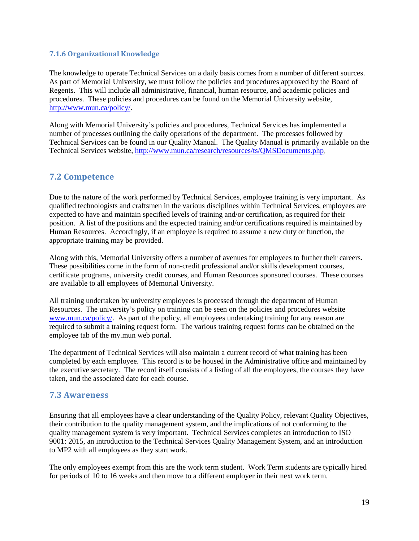## <span id="page-18-0"></span>**7.1.6 Organizational Knowledge**

The knowledge to operate Technical Services on a daily basis comes from a number of different sources. As part of Memorial University, we must follow the policies and procedures approved by the Board of Regents. This will include all administrative, financial, human resource, and academic policies and procedures. These policies and procedures can be found on the Memorial University website, [http://www.mun.ca/policy/.](http://www.mun.ca/policy/)

Along with Memorial University's policies and procedures, Technical Services has implemented a number of processes outlining the daily operations of the department. The processes followed by Technical Services can be found in our Quality Manual. The Quality Manual is primarily available on the Technical Services website, [http://www.mun.ca/research/resources/ts/QMSDocuments.php.](http://www.mun.ca/research/resources/ts/QMSDocuments.php)

## <span id="page-18-1"></span>**7.2 Competence**

Due to the nature of the work performed by Technical Services, employee training is very important. As qualified technologists and craftsmen in the various disciplines within Technical Services, employees are expected to have and maintain specified levels of training and/or certification, as required for their position. A list of the positions and the expected training and/or certifications required is maintained by Human Resources. Accordingly, if an employee is required to assume a new duty or function, the appropriate training may be provided.

Along with this, Memorial University offers a number of avenues for employees to further their careers. These possibilities come in the form of non-credit professional and/or skills development courses, certificate programs, university credit courses, and Human Resources sponsored courses. These courses are available to all employees of Memorial University.

All training undertaken by university employees is processed through the department of Human Resources. The university's policy on training can be seen on the policies and procedures website [www.mun.ca/policy/.](http://www.mun.ca/policy/) As part of the policy, all employees undertaking training for any reason are required to submit a training request form. The various training request forms can be obtained on the employee tab of the my.mun web portal.

The department of Technical Services will also maintain a current record of what training has been completed by each employee. This record is to be housed in the Administrative office and maintained by the executive secretary. The record itself consists of a listing of all the employees, the courses they have taken, and the associated date for each course.

## <span id="page-18-2"></span>**7.3 Awareness**

Ensuring that all employees have a clear understanding of the Quality Policy, relevant Quality Objectives, their contribution to the quality management system, and the implications of not conforming to the quality management system is very important. Technical Services completes an introduction to ISO 9001: 2015, an introduction to the Technical Services Quality Management System, and an introduction to MP2 with all employees as they start work.

The only employees exempt from this are the work term student. Work Term students are typically hired for periods of 10 to 16 weeks and then move to a different employer in their next work term.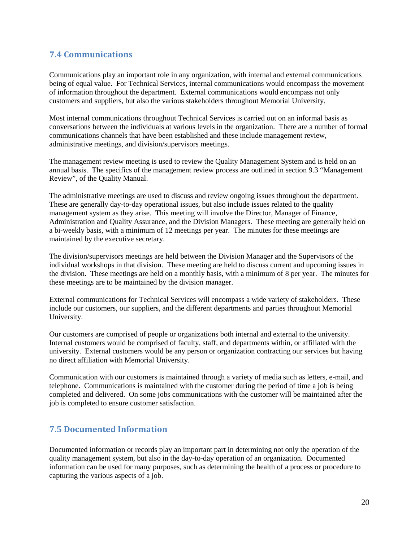## <span id="page-19-0"></span>**7.4 Communications**

Communications play an important role in any organization, with internal and external communications being of equal value. For Technical Services, internal communications would encompass the movement of information throughout the department. External communications would encompass not only customers and suppliers, but also the various stakeholders throughout Memorial University.

Most internal communications throughout Technical Services is carried out on an informal basis as conversations between the individuals at various levels in the organization. There are a number of formal communications channels that have been established and these include management review, administrative meetings, and division/supervisors meetings.

The management review meeting is used to review the Quality Management System and is held on an annual basis. The specifics of the management review process are outlined in section 9.3 "Management Review", of the Quality Manual.

The administrative meetings are used to discuss and review ongoing issues throughout the department. These are generally day-to-day operational issues, but also include issues related to the quality management system as they arise. This meeting will involve the Director, Manager of Finance, Administration and Quality Assurance, and the Division Managers. These meeting are generally held on a bi-weekly basis, with a minimum of 12 meetings per year. The minutes for these meetings are maintained by the executive secretary.

The division/supervisors meetings are held between the Division Manager and the Supervisors of the individual workshops in that division. These meeting are held to discuss current and upcoming issues in the division. These meetings are held on a monthly basis, with a minimum of 8 per year. The minutes for these meetings are to be maintained by the division manager.

External communications for Technical Services will encompass a wide variety of stakeholders. These include our customers, our suppliers, and the different departments and parties throughout Memorial University.

Our customers are comprised of people or organizations both internal and external to the university. Internal customers would be comprised of faculty, staff, and departments within, or affiliated with the university. External customers would be any person or organization contracting our services but having no direct affiliation with Memorial University.

Communication with our customers is maintained through a variety of media such as letters, e-mail, and telephone. Communications is maintained with the customer during the period of time a job is being completed and delivered. On some jobs communications with the customer will be maintained after the job is completed to ensure customer satisfaction.

## <span id="page-19-1"></span>**7.5 Documented Information**

Documented information or records play an important part in determining not only the operation of the quality management system, but also in the day-to-day operation of an organization. Documented information can be used for many purposes, such as determining the health of a process or procedure to capturing the various aspects of a job.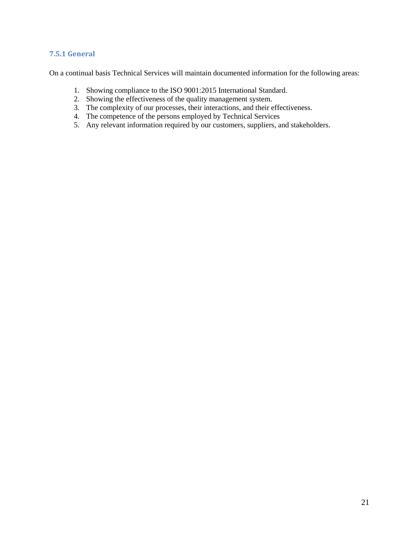## <span id="page-20-0"></span>**7.5.1 General**

On a continual basis Technical Services will maintain documented information for the following areas:

- 1. Showing compliance to the ISO 9001:2015 International Standard.
- 2. Showing the effectiveness of the quality management system.
- 3. The complexity of our processes, their interactions, and their effectiveness.
- 4. The competence of the persons employed by Technical Services
- 5. Any relevant information required by our customers, suppliers, and stakeholders.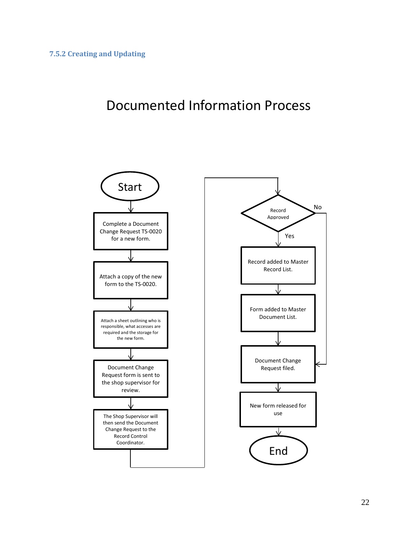# <span id="page-21-0"></span>Documented Information Process

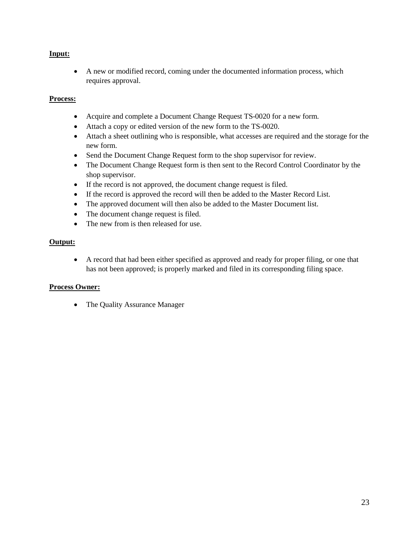## **Input:**

• A new or modified record, coming under the documented information process, which requires approval.

## **Process:**

- Acquire and complete a Document Change Request TS-0020 for a new form.
- Attach a copy or edited version of the new form to the TS-0020.
- Attach a sheet outlining who is responsible, what accesses are required and the storage for the new form.
- Send the Document Change Request form to the shop supervisor for review.
- The Document Change Request form is then sent to the Record Control Coordinator by the shop supervisor.
- If the record is not approved, the document change request is filed.
- If the record is approved the record will then be added to the Master Record List.
- The approved document will then also be added to the Master Document list.
- The document change request is filed.
- The new from is then released for use.

## **Output:**

• A record that had been either specified as approved and ready for proper filing, or one that has not been approved; is properly marked and filed in its corresponding filing space.

## **Process Owner:**

• The Quality Assurance Manager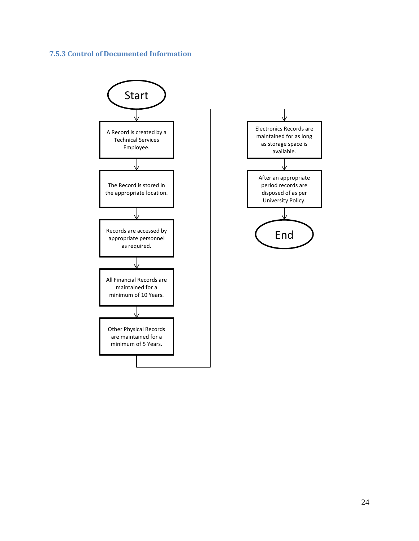## <span id="page-23-0"></span>**7.5.3 Control of Documented Information**

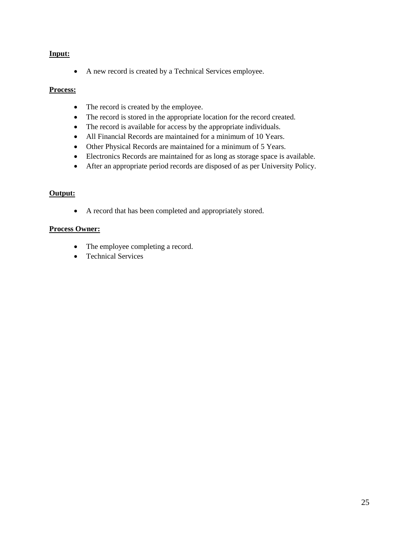## **Input:**

• A new record is created by a Technical Services employee.

## **Process:**

- The record is created by the employee.
- The record is stored in the appropriate location for the record created.
- The record is available for access by the appropriate individuals.
- All Financial Records are maintained for a minimum of 10 Years.
- Other Physical Records are maintained for a minimum of 5 Years.
- Electronics Records are maintained for as long as storage space is available.
- After an appropriate period records are disposed of as per University Policy.

## **Output:**

• A record that has been completed and appropriately stored.

## **Process Owner:**

- The employee completing a record.
- Technical Services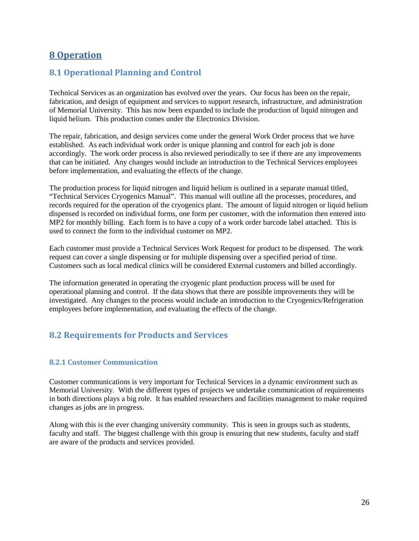## <span id="page-25-0"></span>**8 Operation**

## <span id="page-25-1"></span>**8.1 Operational Planning and Control**

Technical Services as an organization has evolved over the years. Our focus has been on the repair, fabrication, and design of equipment and services to support research, infrastructure, and administration of Memorial University. This has now been expanded to include the production of liquid nitrogen and liquid helium. This production comes under the Electronics Division.

The repair, fabrication, and design services come under the general Work Order process that we have established. As each individual work order is unique planning and control for each job is done accordingly. The work order process is also reviewed periodically to see if there are any improvements that can be initiated. Any changes would include an introduction to the Technical Services employees before implementation, and evaluating the effects of the change.

The production process for liquid nitrogen and liquid helium is outlined in a separate manual titled, "Technical Services Cryogenics Manual". This manual will outline all the processes, procedures, and records required for the operation of the cryogenics plant. The amount of liquid nitrogen or liquid helium dispensed is recorded on individual forms, one form per customer, with the information then entered into MP2 for monthly billing. Each form is to have a copy of a work order barcode label attached. This is used to connect the form to the individual customer on MP2.

Each customer must provide a Technical Services Work Request for product to be dispensed. The work request can cover a single dispensing or for multiple dispensing over a specified period of time. Customers such as local medical clinics will be considered External customers and billed accordingly.

The information generated in operating the cryogenic plant production process will be used for operational planning and control. If the data shows that there are possible improvements they will be investigated. Any changes to the process would include an introduction to the Cryogenics/Refrigeration employees before implementation, and evaluating the effects of the change.

## <span id="page-25-2"></span>**8.2 Requirements for Products and Services**

## <span id="page-25-3"></span>**8.2.1 Customer Communication**

Customer communications is very important for Technical Services in a dynamic environment such as Memorial University. With the different types of projects we undertake communication of requirements in both directions plays a big role. It has enabled researchers and facilities management to make required changes as jobs are in progress.

Along with this is the ever changing university community. This is seen in groups such as students, faculty and staff. The biggest challenge with this group is ensuring that new students, faculty and staff are aware of the products and services provided.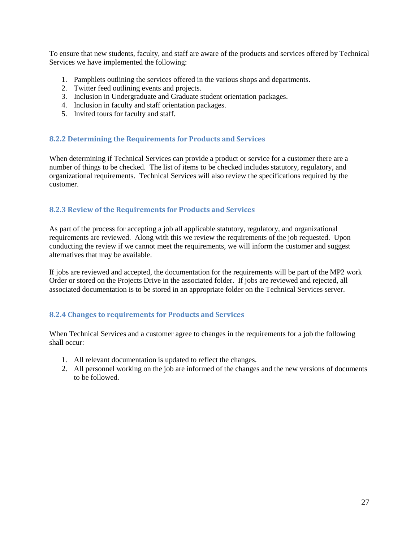To ensure that new students, faculty, and staff are aware of the products and services offered by Technical Services we have implemented the following:

- 1. Pamphlets outlining the services offered in the various shops and departments.
- 2. Twitter feed outlining events and projects.
- 3. Inclusion in Undergraduate and Graduate student orientation packages.
- 4. Inclusion in faculty and staff orientation packages.
- 5. Invited tours for faculty and staff.

#### <span id="page-26-0"></span>**8.2.2 Determining the Requirements for Products and Services**

When determining if Technical Services can provide a product or service for a customer there are a number of things to be checked. The list of items to be checked includes statutory, regulatory, and organizational requirements. Technical Services will also review the specifications required by the customer.

#### <span id="page-26-1"></span>**8.2.3 Review of the Requirements for Products and Services**

As part of the process for accepting a job all applicable statutory, regulatory, and organizational requirements are reviewed. Along with this we review the requirements of the job requested. Upon conducting the review if we cannot meet the requirements, we will inform the customer and suggest alternatives that may be available.

If jobs are reviewed and accepted, the documentation for the requirements will be part of the MP2 work Order or stored on the Projects Drive in the associated folder. If jobs are reviewed and rejected, all associated documentation is to be stored in an appropriate folder on the Technical Services server.

#### <span id="page-26-2"></span>**8.2.4 Changes to requirements for Products and Services**

When Technical Services and a customer agree to changes in the requirements for a job the following shall occur:

- 1. All relevant documentation is updated to reflect the changes.
- 2. All personnel working on the job are informed of the changes and the new versions of documents to be followed.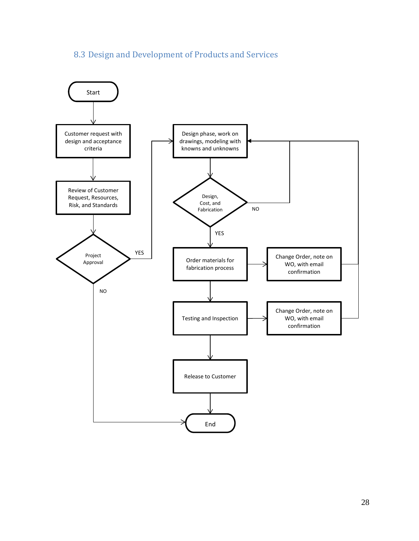# 8.3 Design and Development of Products and Services

<span id="page-27-0"></span>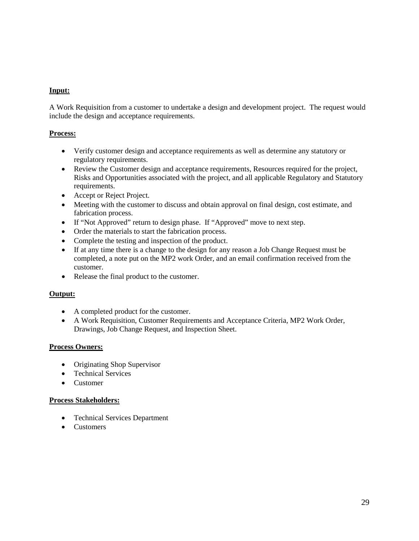## **Input:**

A Work Requisition from a customer to undertake a design and development project. The request would include the design and acceptance requirements.

## **Process:**

- Verify customer design and acceptance requirements as well as determine any statutory or regulatory requirements.
- Review the Customer design and acceptance requirements, Resources required for the project, Risks and Opportunities associated with the project, and all applicable Regulatory and Statutory requirements.
- Accept or Reject Project.
- Meeting with the customer to discuss and obtain approval on final design, cost estimate, and fabrication process.
- If "Not Approved" return to design phase. If "Approved" move to next step.
- Order the materials to start the fabrication process.
- Complete the testing and inspection of the product.
- If at any time there is a change to the design for any reason a Job Change Request must be completed, a note put on the MP2 work Order, and an email confirmation received from the customer.
- Release the final product to the customer.

## **Output:**

- A completed product for the customer.
- A Work Requisition, Customer Requirements and Acceptance Criteria, MP2 Work Order, Drawings, Job Change Request, and Inspection Sheet.

#### **Process Owners:**

- Originating Shop Supervisor
- Technical Services
- Customer

#### **Process Stakeholders:**

- Technical Services Department
- Customers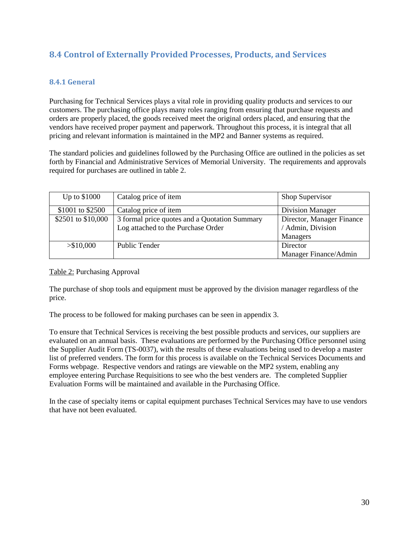## <span id="page-29-0"></span>**8.4 Control of Externally Provided Processes, Products, and Services**

## <span id="page-29-1"></span>**8.4.1 General**

Purchasing for Technical Services plays a vital role in providing quality products and services to our customers. The purchasing office plays many roles ranging from ensuring that purchase requests and orders are properly placed, the goods received meet the original orders placed, and ensuring that the vendors have received proper payment and paperwork. Throughout this process, it is integral that all pricing and relevant information is maintained in the MP2 and Banner systems as required.

The standard policies and guidelines followed by the Purchasing Office are outlined in the policies as set forth by Financial and Administrative Services of Memorial University. The requirements and approvals required for purchases are outlined in table 2.

| Up to \$1000       | Catalog price of item                         | Shop Supervisor           |
|--------------------|-----------------------------------------------|---------------------------|
| \$1001 to \$2500   | Catalog price of item                         | <b>Division Manager</b>   |
| \$2501 to \$10,000 | 3 formal price quotes and a Quotation Summary | Director, Manager Finance |
|                    | Log attached to the Purchase Order            | / Admin, Division         |
|                    |                                               | Managers                  |
| > \$10,000         | Public Tender                                 | Director                  |
|                    |                                               | Manager Finance/Admin     |

## Table 2: Purchasing Approval

The purchase of shop tools and equipment must be approved by the division manager regardless of the price.

The process to be followed for making purchases can be seen in appendix 3.

To ensure that Technical Services is receiving the best possible products and services, our suppliers are evaluated on an annual basis. These evaluations are performed by the Purchasing Office personnel using the Supplier Audit Form (TS-0037), with the results of these evaluations being used to develop a master list of preferred venders. The form for this process is available on the Technical Services Documents and Forms webpage. Respective vendors and ratings are viewable on the MP2 system, enabling any employee entering Purchase Requisitions to see who the best venders are. The completed Supplier Evaluation Forms will be maintained and available in the Purchasing Office.

In the case of specialty items or capital equipment purchases Technical Services may have to use vendors that have not been evaluated.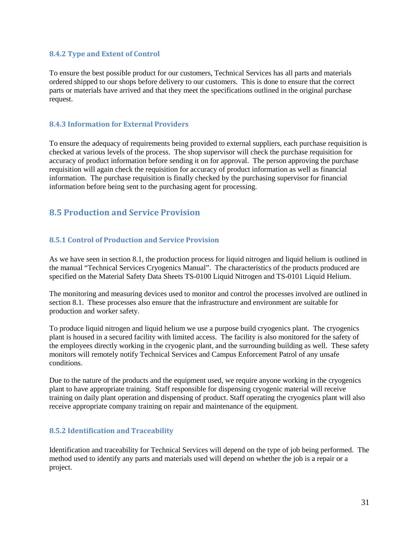#### <span id="page-30-0"></span>**8.4.2 Type and Extent of Control**

To ensure the best possible product for our customers, Technical Services has all parts and materials ordered shipped to our shops before delivery to our customers. This is done to ensure that the correct parts or materials have arrived and that they meet the specifications outlined in the original purchase request.

## <span id="page-30-1"></span>**8.4.3 Information for External Providers**

To ensure the adequacy of requirements being provided to external suppliers, each purchase requisition is checked at various levels of the process. The shop supervisor will check the purchase requisition for accuracy of product information before sending it on for approval. The person approving the purchase requisition will again check the requisition for accuracy of product information as well as financial information. The purchase requisition is finally checked by the purchasing supervisor for financial information before being sent to the purchasing agent for processing.

## <span id="page-30-2"></span>**8.5 Production and Service Provision**

## <span id="page-30-3"></span>**8.5.1 Control of Production and Service Provision**

As we have seen in section 8.1, the production process for liquid nitrogen and liquid helium is outlined in the manual "Technical Services Cryogenics Manual". The characteristics of the products produced are specified on the Material Safety Data Sheets TS-0100 Liquid Nitrogen and TS-0101 Liquid Helium.

The monitoring and measuring devices used to monitor and control the processes involved are outlined in section 8.1. These processes also ensure that the infrastructure and environment are suitable for production and worker safety.

To produce liquid nitrogen and liquid helium we use a purpose build cryogenics plant. The cryogenics plant is housed in a secured facility with limited access. The facility is also monitored for the safety of the employees directly working in the cryogenic plant, and the surrounding building as well. These safety monitors will remotely notify Technical Services and Campus Enforcement Patrol of any unsafe conditions.

Due to the nature of the products and the equipment used, we require anyone working in the cryogenics plant to have appropriate training. Staff responsible for dispensing cryogenic material will receive training on daily plant operation and dispensing of product. Staff operating the cryogenics plant will also receive appropriate company training on repair and maintenance of the equipment.

#### <span id="page-30-4"></span>**8.5.2 Identification and Traceability**

Identification and traceability for Technical Services will depend on the type of job being performed. The method used to identify any parts and materials used will depend on whether the job is a repair or a project.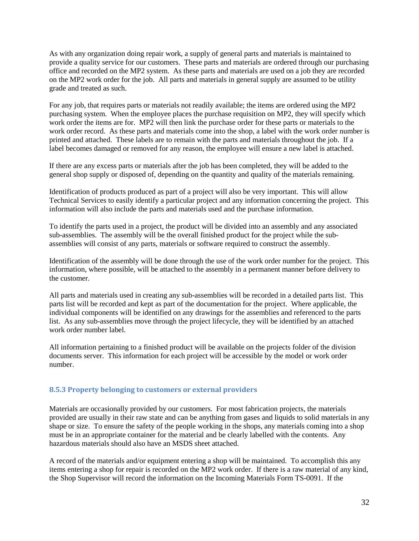As with any organization doing repair work, a supply of general parts and materials is maintained to provide a quality service for our customers. These parts and materials are ordered through our purchasing office and recorded on the MP2 system. As these parts and materials are used on a job they are recorded on the MP2 work order for the job. All parts and materials in general supply are assumed to be utility grade and treated as such.

For any job, that requires parts or materials not readily available; the items are ordered using the MP2 purchasing system. When the employee places the purchase requisition on MP2, they will specify which work order the items are for. MP2 will then link the purchase order for these parts or materials to the work order record. As these parts and materials come into the shop, a label with the work order number is printed and attached. These labels are to remain with the parts and materials throughout the job. If a label becomes damaged or removed for any reason, the employee will ensure a new label is attached.

If there are any excess parts or materials after the job has been completed, they will be added to the general shop supply or disposed of, depending on the quantity and quality of the materials remaining.

Identification of products produced as part of a project will also be very important. This will allow Technical Services to easily identify a particular project and any information concerning the project. This information will also include the parts and materials used and the purchase information.

To identify the parts used in a project, the product will be divided into an assembly and any associated sub-assemblies. The assembly will be the overall finished product for the project while the subassemblies will consist of any parts, materials or software required to construct the assembly.

Identification of the assembly will be done through the use of the work order number for the project. This information, where possible, will be attached to the assembly in a permanent manner before delivery to the customer.

All parts and materials used in creating any sub-assemblies will be recorded in a detailed parts list. This parts list will be recorded and kept as part of the documentation for the project. Where applicable, the individual components will be identified on any drawings for the assemblies and referenced to the parts list. As any sub-assemblies move through the project lifecycle, they will be identified by an attached work order number label.

All information pertaining to a finished product will be available on the projects folder of the division documents server. This information for each project will be accessible by the model or work order number.

#### <span id="page-31-0"></span>**8.5.3 Property belonging to customers or external providers**

Materials are occasionally provided by our customers. For most fabrication projects, the materials provided are usually in their raw state and can be anything from gases and liquids to solid materials in any shape or size. To ensure the safety of the people working in the shops, any materials coming into a shop must be in an appropriate container for the material and be clearly labelled with the contents. Any hazardous materials should also have an MSDS sheet attached.

A record of the materials and/or equipment entering a shop will be maintained. To accomplish this any items entering a shop for repair is recorded on the MP2 work order. If there is a raw material of any kind, the Shop Supervisor will record the information on the Incoming Materials Form TS-0091. If the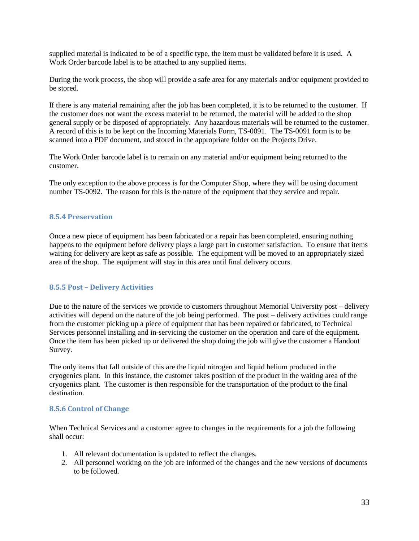supplied material is indicated to be of a specific type, the item must be validated before it is used. A Work Order barcode label is to be attached to any supplied items.

During the work process, the shop will provide a safe area for any materials and/or equipment provided to be stored.

If there is any material remaining after the job has been completed, it is to be returned to the customer. If the customer does not want the excess material to be returned, the material will be added to the shop general supply or be disposed of appropriately. Any hazardous materials will be returned to the customer. A record of this is to be kept on the Incoming Materials Form, TS-0091. The TS-0091 form is to be scanned into a PDF document, and stored in the appropriate folder on the Projects Drive.

The Work Order barcode label is to remain on any material and/or equipment being returned to the customer.

The only exception to the above process is for the Computer Shop, where they will be using document number TS-0092. The reason for this is the nature of the equipment that they service and repair.

#### <span id="page-32-0"></span>**8.5.4 Preservation**

Once a new piece of equipment has been fabricated or a repair has been completed, ensuring nothing happens to the equipment before delivery plays a large part in customer satisfaction. To ensure that items waiting for delivery are kept as safe as possible. The equipment will be moved to an appropriately sized area of the shop. The equipment will stay in this area until final delivery occurs.

#### <span id="page-32-1"></span>**8.5.5 Post – Delivery Activities**

Due to the nature of the services we provide to customers throughout Memorial University post – delivery activities will depend on the nature of the job being performed. The post – delivery activities could range from the customer picking up a piece of equipment that has been repaired or fabricated, to Technical Services personnel installing and in-servicing the customer on the operation and care of the equipment. Once the item has been picked up or delivered the shop doing the job will give the customer a Handout Survey.

The only items that fall outside of this are the liquid nitrogen and liquid helium produced in the cryogenics plant. In this instance, the customer takes position of the product in the waiting area of the cryogenics plant. The customer is then responsible for the transportation of the product to the final destination.

#### <span id="page-32-2"></span>**8.5.6 Control of Change**

When Technical Services and a customer agree to changes in the requirements for a job the following shall occur:

- 1. All relevant documentation is updated to reflect the changes.
- 2. All personnel working on the job are informed of the changes and the new versions of documents to be followed.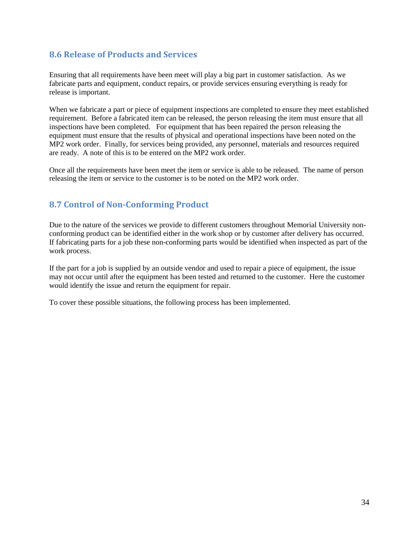## <span id="page-33-0"></span>**8.6 Release of Products and Services**

Ensuring that all requirements have been meet will play a big part in customer satisfaction. As we fabricate parts and equipment, conduct repairs, or provide services ensuring everything is ready for release is important.

When we fabricate a part or piece of equipment inspections are completed to ensure they meet established requirement. Before a fabricated item can be released, the person releasing the item must ensure that all inspections have been completed. For equipment that has been repaired the person releasing the equipment must ensure that the results of physical and operational inspections have been noted on the MP2 work order. Finally, for services being provided, any personnel, materials and resources required are ready. A note of this is to be entered on the MP2 work order.

Once all the requirements have been meet the item or service is able to be released. The name of person releasing the item or service to the customer is to be noted on the MP2 work order.

## <span id="page-33-1"></span>**8.7 Control of Non-Conforming Product**

Due to the nature of the services we provide to different customers throughout Memorial University nonconforming product can be identified either in the work shop or by customer after delivery has occurred. If fabricating parts for a job these non-conforming parts would be identified when inspected as part of the work process.

If the part for a job is supplied by an outside vendor and used to repair a piece of equipment, the issue may not occur until after the equipment has been tested and returned to the customer. Here the customer would identify the issue and return the equipment for repair.

To cover these possible situations, the following process has been implemented.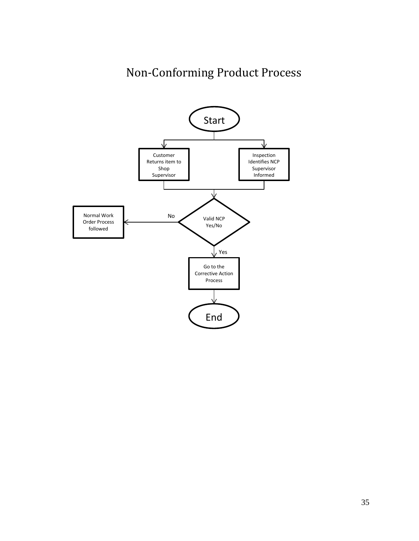# Non-Conforming Product Process

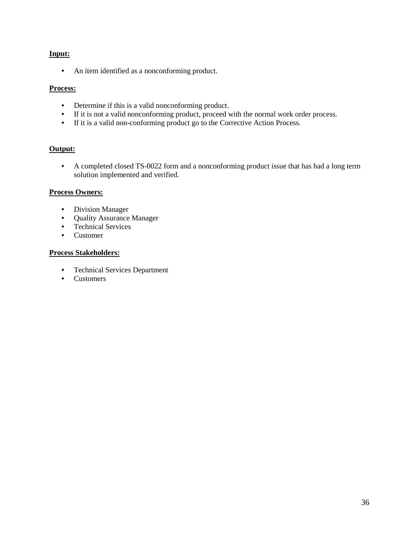## **Input:**

• An item identified as a nonconforming product.

## **Process:**

- Determine if this is a valid nonconforming product.
- If it is not a valid nonconforming product, proceed with the normal work order process.
- If it is a valid non-conforming product go to the Corrective Action Process.

## **Output:**

• A completed closed TS-0022 form and a nonconforming product issue that has had a long term solution implemented and verified.

## **Process Owners:**

- Division Manager
- Quality Assurance Manager
- Technical Services
- Customer

## **Process Stakeholders:**

- Technical Services Department
- Customers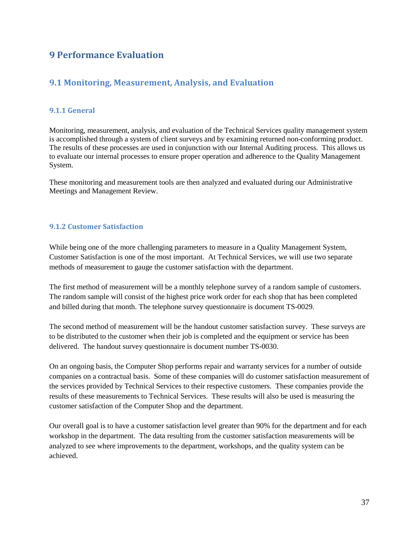## **9 Performance Evaluation**

## <span id="page-36-0"></span>**9.1 Monitoring, Measurement, Analysis, and Evaluation**

## <span id="page-36-1"></span>**9.1.1 General**

Monitoring, measurement, analysis, and evaluation of the Technical Services quality management system is accomplished through a system of client surveys and by examining returned non-conforming product. The results of these processes are used in conjunction with our Internal Auditing process. This allows us to evaluate our internal processes to ensure proper operation and adherence to the Quality Management System.

These monitoring and measurement tools are then analyzed and evaluated during our Administrative Meetings and Management Review.

## <span id="page-36-2"></span>**9.1.2 Customer Satisfaction**

While being one of the more challenging parameters to measure in a Quality Management System, Customer Satisfaction is one of the most important. At Technical Services, we will use two separate methods of measurement to gauge the customer satisfaction with the department.

The first method of measurement will be a monthly telephone survey of a random sample of customers. The random sample will consist of the highest price work order for each shop that has been completed and billed during that month. The telephone survey questionnaire is document TS-0029.

The second method of measurement will be the handout customer satisfaction survey. These surveys are to be distributed to the customer when their job is completed and the equipment or service has been delivered. The handout survey questionnaire is document number TS-0030.

On an ongoing basis, the Computer Shop performs repair and warranty services for a number of outside companies on a contractual basis. Some of these companies will do customer satisfaction measurement of the services provided by Technical Services to their respective customers. These companies provide the results of these measurements to Technical Services. These results will also be used is measuring the customer satisfaction of the Computer Shop and the department.

Our overall goal is to have a customer satisfaction level greater than 90% for the department and for each workshop in the department. The data resulting from the customer satisfaction measurements will be analyzed to see where improvements to the department, workshops, and the quality system can be achieved.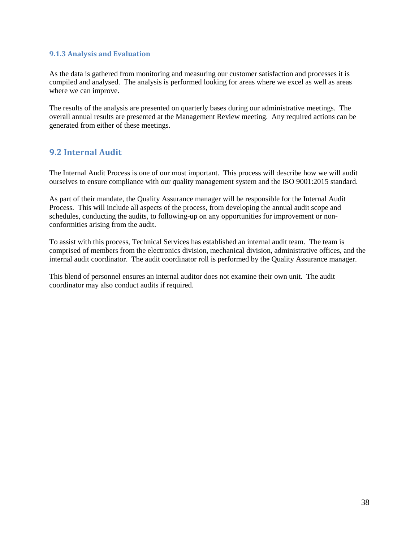#### <span id="page-37-0"></span>**9.1.3 Analysis and Evaluation**

As the data is gathered from monitoring and measuring our customer satisfaction and processes it is compiled and analysed. The analysis is performed looking for areas where we excel as well as areas where we can improve.

The results of the analysis are presented on quarterly bases during our administrative meetings. The overall annual results are presented at the Management Review meeting. Any required actions can be generated from either of these meetings.

## <span id="page-37-1"></span>**9.2 Internal Audit**

The Internal Audit Process is one of our most important. This process will describe how we will audit ourselves to ensure compliance with our quality management system and the ISO 9001:2015 standard.

As part of their mandate, the Quality Assurance manager will be responsible for the Internal Audit Process. This will include all aspects of the process, from developing the annual audit scope and schedules, conducting the audits, to following-up on any opportunities for improvement or nonconformities arising from the audit.

To assist with this process, Technical Services has established an internal audit team. The team is comprised of members from the electronics division, mechanical division, administrative offices, and the internal audit coordinator. The audit coordinator roll is performed by the Quality Assurance manager.

This blend of personnel ensures an internal auditor does not examine their own unit. The audit coordinator may also conduct audits if required.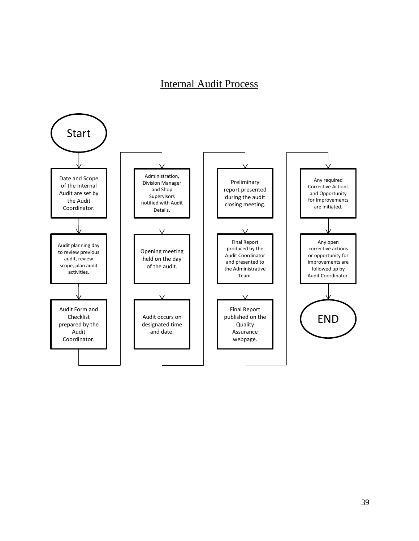# Internal Audit Process

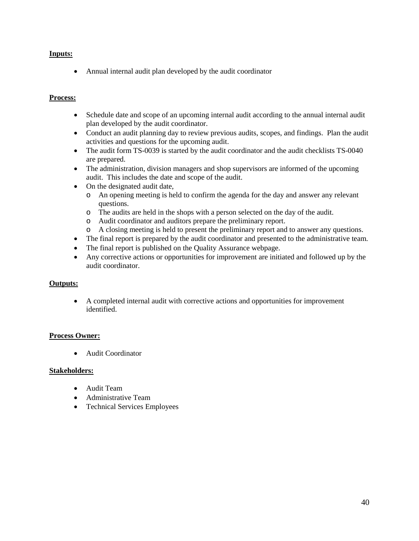## **Inputs:**

• Annual internal audit plan developed by the audit coordinator

## **Process:**

- Schedule date and scope of an upcoming internal audit according to the annual internal audit plan developed by the audit coordinator.
- Conduct an audit planning day to review previous audits, scopes, and findings. Plan the audit activities and questions for the upcoming audit.
- The audit form TS-0039 is started by the audit coordinator and the audit checklists TS-0040 are prepared.
- The administration, division managers and shop supervisors are informed of the upcoming audit. This includes the date and scope of the audit.
- On the designated audit date,
	- o An opening meeting is held to confirm the agenda for the day and answer any relevant questions.
	- o The audits are held in the shops with a person selected on the day of the audit.
	- o Audit coordinator and auditors prepare the preliminary report.
	- o A closing meeting is held to present the preliminary report and to answer any questions.
- The final report is prepared by the audit coordinator and presented to the administrative team.
- The final report is published on the Quality Assurance webpage.
- Any corrective actions or opportunities for improvement are initiated and followed up by the audit coordinator.

#### **Outputs:**

• A completed internal audit with corrective actions and opportunities for improvement identified.

## **Process Owner:**

• Audit Coordinator

#### **Stakeholders:**

- Audit Team
- Administrative Team
- Technical Services Employees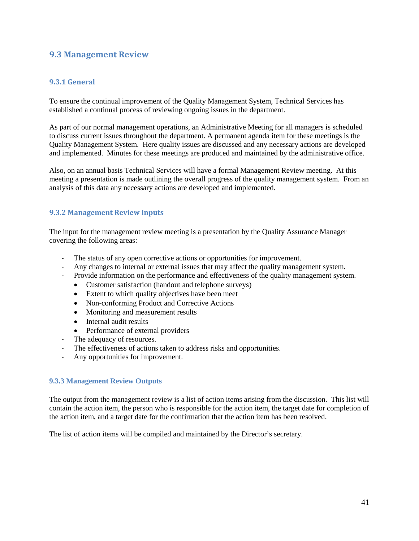## <span id="page-40-0"></span>**9.3 Management Review**

## <span id="page-40-1"></span>**9.3.1 General**

To ensure the continual improvement of the Quality Management System, Technical Services has established a continual process of reviewing ongoing issues in the department.

As part of our normal management operations, an Administrative Meeting for all managers is scheduled to discuss current issues throughout the department. A permanent agenda item for these meetings is the Quality Management System. Here quality issues are discussed and any necessary actions are developed and implemented. Minutes for these meetings are produced and maintained by the administrative office.

Also, on an annual basis Technical Services will have a formal Management Review meeting. At this meeting a presentation is made outlining the overall progress of the quality management system. From an analysis of this data any necessary actions are developed and implemented.

#### <span id="page-40-2"></span>**9.3.2 Management Review Inputs**

The input for the management review meeting is a presentation by the Quality Assurance Manager covering the following areas:

- The status of any open corrective actions or opportunities for improvement.
- Any changes to internal or external issues that may affect the quality management system.
- Provide information on the performance and effectiveness of the quality management system.
	- Customer satisfaction (handout and telephone surveys)
	- Extent to which quality objectives have been meet
	- Non-conforming Product and Corrective Actions
	- Monitoring and measurement results
	- Internal audit results
	- Performance of external providers
- The adequacy of resources.
- The effectiveness of actions taken to address risks and opportunities.
- Any opportunities for improvement.

#### <span id="page-40-3"></span>**9.3.3 Management Review Outputs**

The output from the management review is a list of action items arising from the discussion. This list will contain the action item, the person who is responsible for the action item, the target date for completion of the action item, and a target date for the confirmation that the action item has been resolved.

The list of action items will be compiled and maintained by the Director's secretary.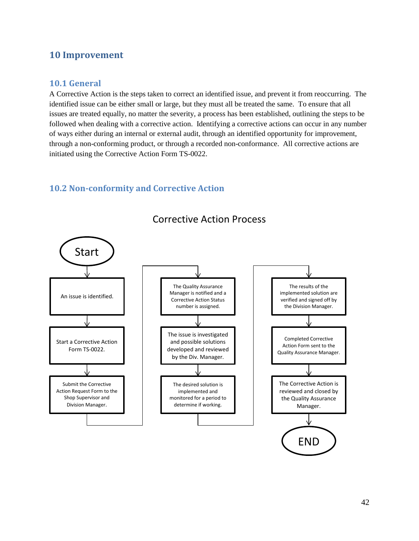## <span id="page-41-0"></span>**10 Improvement**

## <span id="page-41-1"></span>**10.1 General**

A Corrective Action is the steps taken to correct an identified issue, and prevent it from reoccurring. The identified issue can be either small or large, but they must all be treated the same. To ensure that all issues are treated equally, no matter the severity, a process has been established, outlining the steps to be followed when dealing with a corrective action. Identifying a corrective actions can occur in any number of ways either during an internal or external audit, through an identified opportunity for improvement, through a non-conforming product, or through a recorded non-conformance. All corrective actions are initiated using the Corrective Action Form TS-0022.

## <span id="page-41-2"></span>**10.2 Non-conformity and Corrective Action**



## Corrective Action Process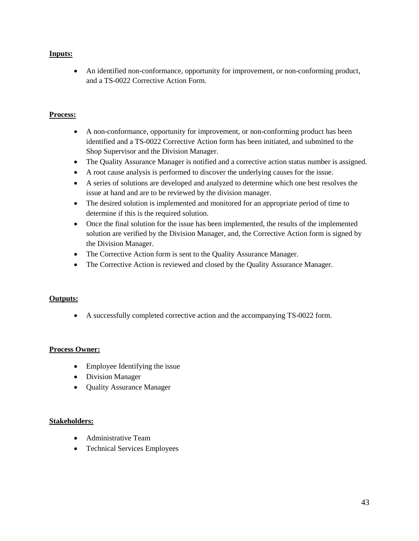## **Inputs:**

• An identified non-conformance, opportunity for improvement, or non-conforming product, and a TS-0022 Corrective Action Form.

## **Process:**

- A non-conformance, opportunity for improvement, or non-conforming product has been identified and a TS-0022 Corrective Action form has been initiated, and submitted to the Shop Supervisor and the Division Manager.
- The Quality Assurance Manager is notified and a corrective action status number is assigned.
- A root cause analysis is performed to discover the underlying causes for the issue.
- A series of solutions are developed and analyzed to determine which one best resolves the issue at hand and are to be reviewed by the division manager.
- The desired solution is implemented and monitored for an appropriate period of time to determine if this is the required solution.
- Once the final solution for the issue has been implemented, the results of the implemented solution are verified by the Division Manager, and, the Corrective Action form is signed by the Division Manager.
- The Corrective Action form is sent to the Quality Assurance Manager.
- The Corrective Action is reviewed and closed by the Quality Assurance Manager.

#### **Outputs:**

• A successfully completed corrective action and the accompanying TS-0022 form.

#### **Process Owner:**

- Employee Identifying the issue
- Division Manager
- Quality Assurance Manager

## **Stakeholders:**

- Administrative Team
- Technical Services Employees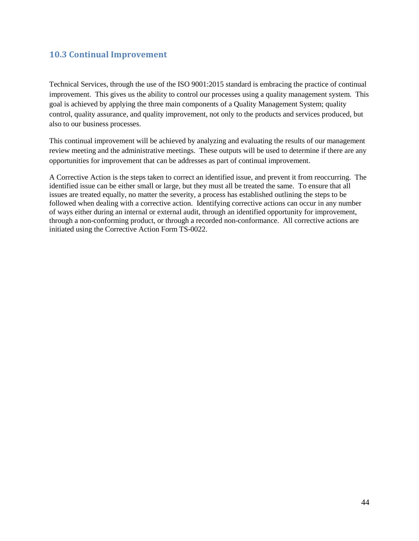## <span id="page-43-0"></span>**10.3 Continual Improvement**

Technical Services, through the use of the ISO 9001:2015 standard is embracing the practice of continual improvement. This gives us the ability to control our processes using a quality management system. This goal is achieved by applying the three main components of a Quality Management System; quality control, quality assurance, and quality improvement, not only to the products and services produced, but also to our business processes.

This continual improvement will be achieved by analyzing and evaluating the results of our management review meeting and the administrative meetings. These outputs will be used to determine if there are any opportunities for improvement that can be addresses as part of continual improvement.

A Corrective Action is the steps taken to correct an identified issue, and prevent it from reoccurring. The identified issue can be either small or large, but they must all be treated the same. To ensure that all issues are treated equally, no matter the severity, a process has established outlining the steps to be followed when dealing with a corrective action. Identifying corrective actions can occur in any number of ways either during an internal or external audit, through an identified opportunity for improvement, through a non-conforming product, or through a recorded non-conformance. All corrective actions are initiated using the Corrective Action Form TS-0022.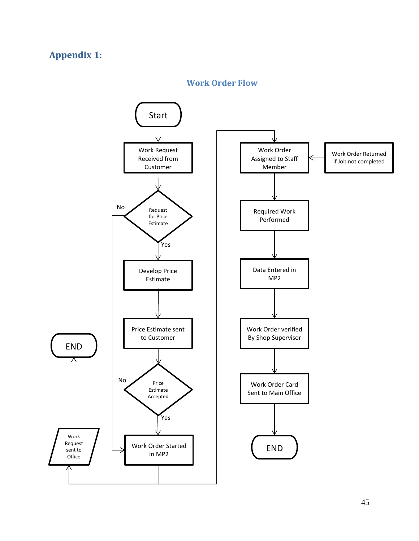# <span id="page-44-0"></span>**Appendix 1:**

## **Work Order Flow**

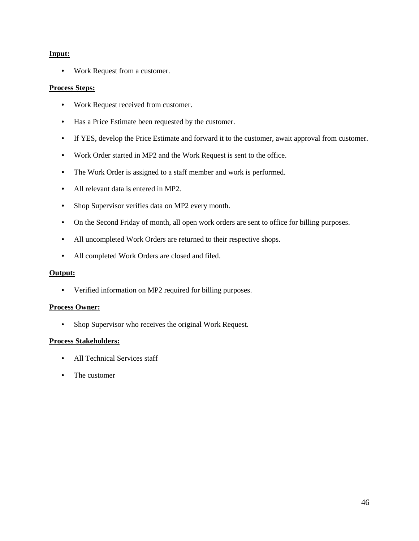#### **Input:**

• Work Request from a customer.

#### **Process Steps:**

- Work Request received from customer.
- Has a Price Estimate been requested by the customer.
- If YES, develop the Price Estimate and forward it to the customer, await approval from customer.
- Work Order started in MP2 and the Work Request is sent to the office.
- The Work Order is assigned to a staff member and work is performed.
- All relevant data is entered in MP2.
- Shop Supervisor verifies data on MP2 every month.
- On the Second Friday of month, all open work orders are sent to office for billing purposes.
- All uncompleted Work Orders are returned to their respective shops.
- All completed Work Orders are closed and filed.

#### **Output:**

• Verified information on MP2 required for billing purposes.

#### **Process Owner:**

• Shop Supervisor who receives the original Work Request.

#### **Process Stakeholders:**

- All Technical Services staff
- The customer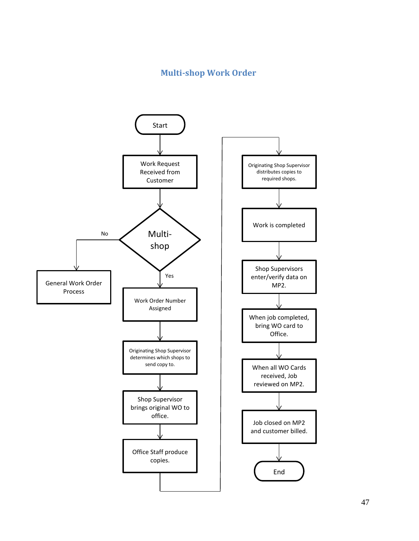## **Multi-shop Work Order**

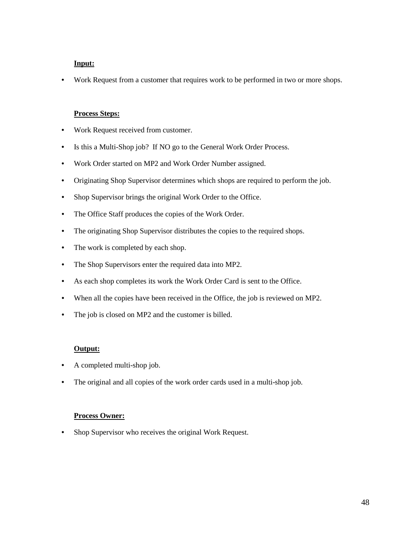## **Input:**

• Work Request from a customer that requires work to be performed in two or more shops.

#### **Process Steps:**

- Work Request received from customer.
- Is this a Multi-Shop job? If NO go to the General Work Order Process.
- Work Order started on MP2 and Work Order Number assigned.
- Originating Shop Supervisor determines which shops are required to perform the job.
- Shop Supervisor brings the original Work Order to the Office.
- The Office Staff produces the copies of the Work Order.
- The originating Shop Supervisor distributes the copies to the required shops.
- The work is completed by each shop.
- The Shop Supervisors enter the required data into MP2.
- As each shop completes its work the Work Order Card is sent to the Office.
- When all the copies have been received in the Office, the job is reviewed on MP2.
- The job is closed on MP2 and the customer is billed.

#### **Output:**

- A completed multi-shop job.
- The original and all copies of the work order cards used in a multi-shop job.

#### **Process Owner:**

• Shop Supervisor who receives the original Work Request.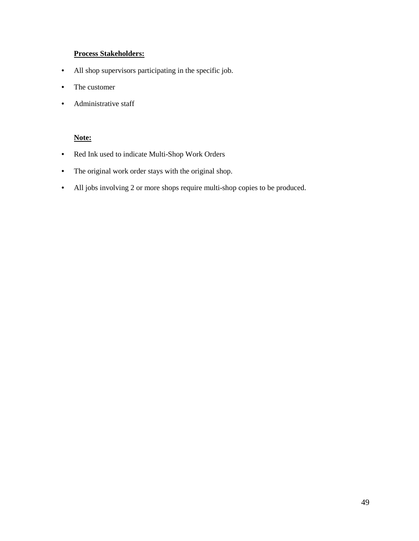## **Process Stakeholders:**

- All shop supervisors participating in the specific job.
- The customer
- Administrative staff

## **Note:**

- Red Ink used to indicate Multi-Shop Work Orders
- The original work order stays with the original shop.
- All jobs involving 2 or more shops require multi-shop copies to be produced.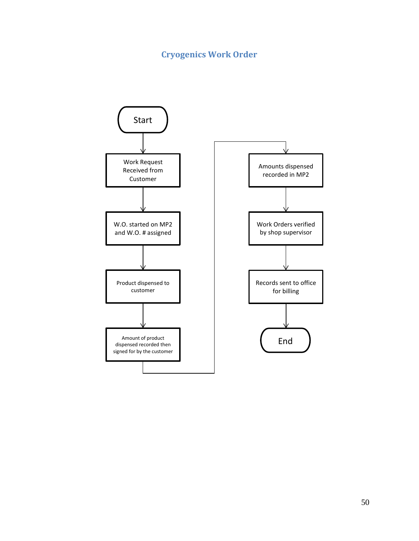# **Cryogenics Work Order**

<span id="page-49-0"></span>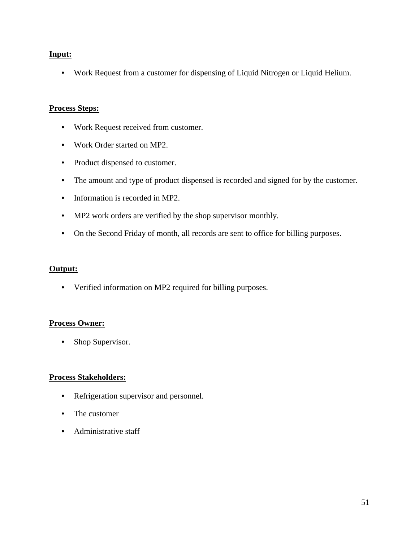## **Input:**

• Work Request from a customer for dispensing of Liquid Nitrogen or Liquid Helium.

## **Process Steps:**

- Work Request received from customer.
- Work Order started on MP2.
- Product dispensed to customer.
- The amount and type of product dispensed is recorded and signed for by the customer.
- Information is recorded in MP2.
- MP2 work orders are verified by the shop supervisor monthly.
- On the Second Friday of month, all records are sent to office for billing purposes.

## **Output:**

• Verified information on MP2 required for billing purposes.

## **Process Owner:**

• Shop Supervisor.

## **Process Stakeholders:**

- Refrigeration supervisor and personnel.
- The customer
- Administrative staff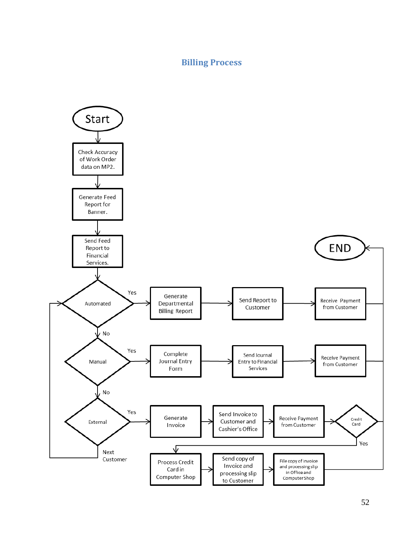## **Billing Process**

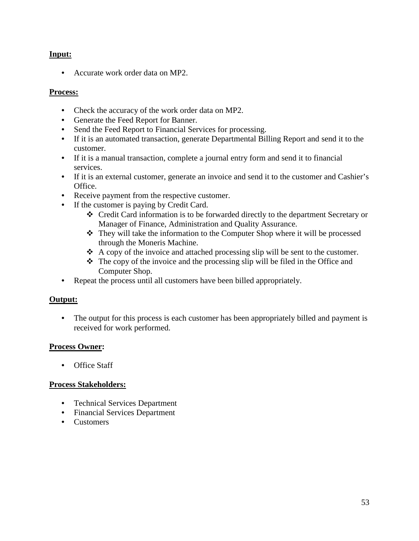## **Input:**

• Accurate work order data on MP2.

## **Process:**

- Check the accuracy of the work order data on MP2.
- Generate the Feed Report for Banner.
- Send the Feed Report to Financial Services for processing.
- If it is an automated transaction, generate Departmental Billing Report and send it to the customer.
- If it is a manual transaction, complete a journal entry form and send it to financial services.
- If it is an external customer, generate an invoice and send it to the customer and Cashier's Office.
- Receive payment from the respective customer.
- If the customer is paying by Credit Card.
	- Credit Card information is to be forwarded directly to the department Secretary or Manager of Finance, Administration and Quality Assurance.
	- They will take the information to the Computer Shop where it will be processed through the Moneris Machine.
	- $\triangle$  A copy of the invoice and attached processing slip will be sent to the customer.
	- $\hat{\mathbf{\cdot}}$  The copy of the invoice and the processing slip will be filed in the Office and Computer Shop.
- Repeat the process until all customers have been billed appropriately.

## **Output:**

• The output for this process is each customer has been appropriately billed and payment is received for work performed.

## **Process Owner:**

• Office Staff

## **Process Stakeholders:**

- Technical Services Department
- Financial Services Department
- Customers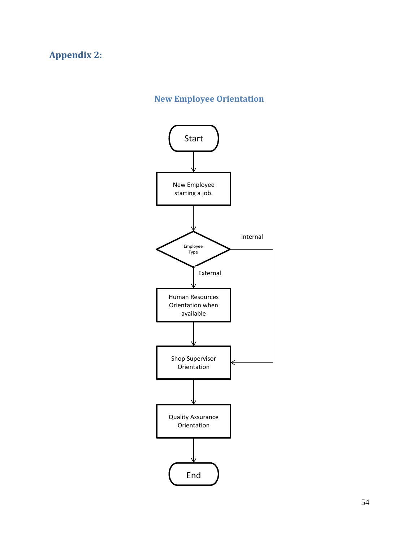# <span id="page-53-0"></span>**Appendix 2:**

# **New Employee Orientation**

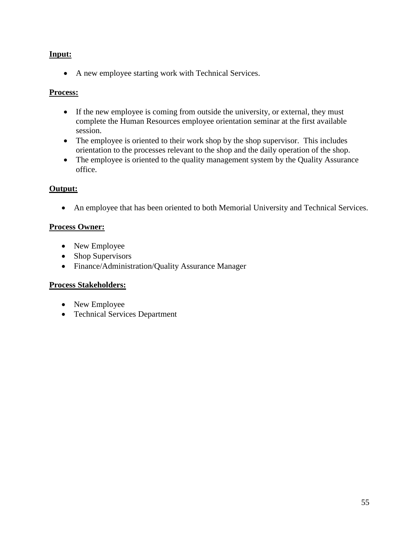## **Input:**

• A new employee starting work with Technical Services.

## **Process:**

- If the new employee is coming from outside the university, or external, they must complete the Human Resources employee orientation seminar at the first available session.
- The employee is oriented to their work shop by the shop supervisor. This includes orientation to the processes relevant to the shop and the daily operation of the shop.
- The employee is oriented to the quality management system by the Quality Assurance office.

## **Output:**

• An employee that has been oriented to both Memorial University and Technical Services.

## **Process Owner:**

- New Employee
- Shop Supervisors
- Finance/Administration/Quality Assurance Manager

## **Process Stakeholders:**

- New Employee
- Technical Services Department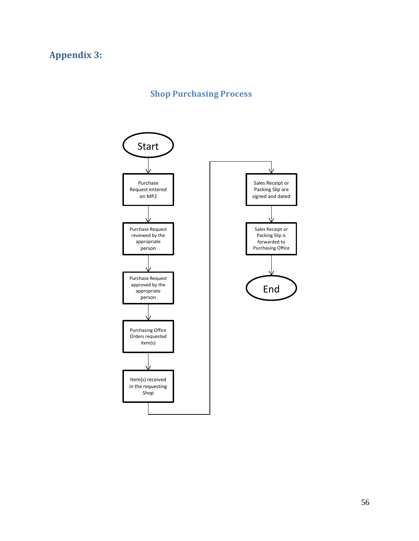# <span id="page-55-0"></span>**Appendix 3:**

# **Shop Purchasing Process**

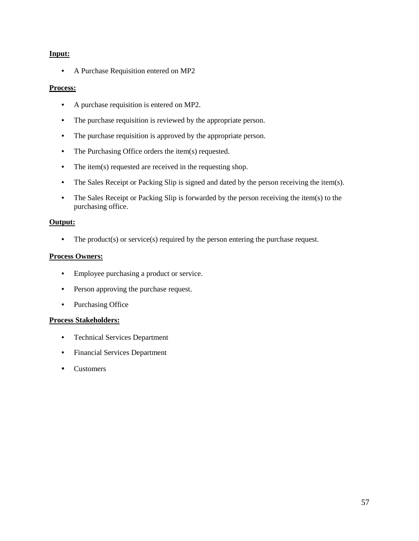#### **Input:**

• A Purchase Requisition entered on MP2

#### **Process:**

- A purchase requisition is entered on MP2.
- The purchase requisition is reviewed by the appropriate person.
- The purchase requisition is approved by the appropriate person.
- The Purchasing Office orders the item(s) requested.
- The item(s) requested are received in the requesting shop.
- The Sales Receipt or Packing Slip is signed and dated by the person receiving the item(s).
- The Sales Receipt or Packing Slip is forwarded by the person receiving the item(s) to the purchasing office.

## **Output:**

• The product(s) or service(s) required by the person entering the purchase request.

## **Process Owners:**

- Employee purchasing a product or service.
- Person approving the purchase request.
- Purchasing Office

## **Process Stakeholders:**

- Technical Services Department
- Financial Services Department
- Customers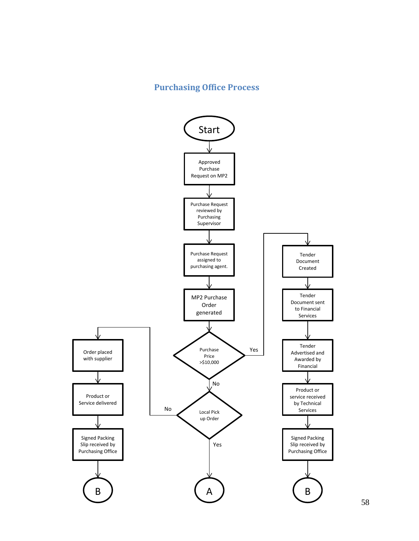## **Purchasing Office Process**

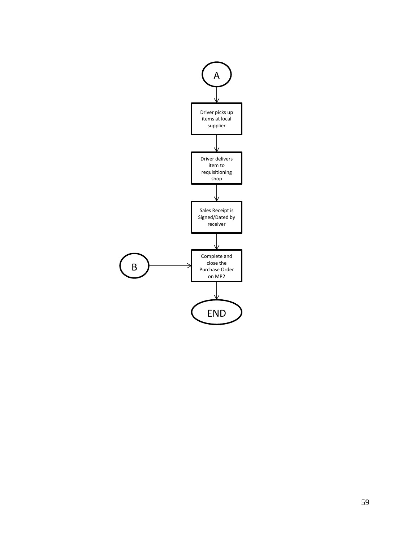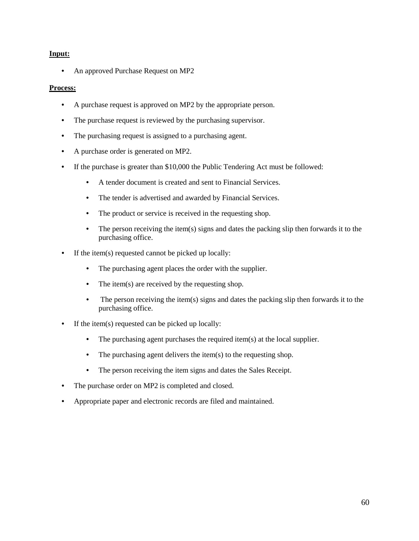## **Input:**

• An approved Purchase Request on MP2

#### **Process:**

- A purchase request is approved on MP2 by the appropriate person.
- The purchase request is reviewed by the purchasing supervisor.
- The purchasing request is assigned to a purchasing agent.
- A purchase order is generated on MP2.
- If the purchase is greater than \$10,000 the Public Tendering Act must be followed:
	- A tender document is created and sent to Financial Services.
	- The tender is advertised and awarded by Financial Services.
	- The product or service is received in the requesting shop.
	- The person receiving the item(s) signs and dates the packing slip then forwards it to the purchasing office.
- If the item(s) requested cannot be picked up locally:
	- The purchasing agent places the order with the supplier.
	- The item(s) are received by the requesting shop.
	- The person receiving the item(s) signs and dates the packing slip then forwards it to the purchasing office.
- If the item(s) requested can be picked up locally:
	- The purchasing agent purchases the required item(s) at the local supplier.
	- The purchasing agent delivers the item(s) to the requesting shop.
	- The person receiving the item signs and dates the Sales Receipt.
- The purchase order on MP2 is completed and closed.
- Appropriate paper and electronic records are filed and maintained.